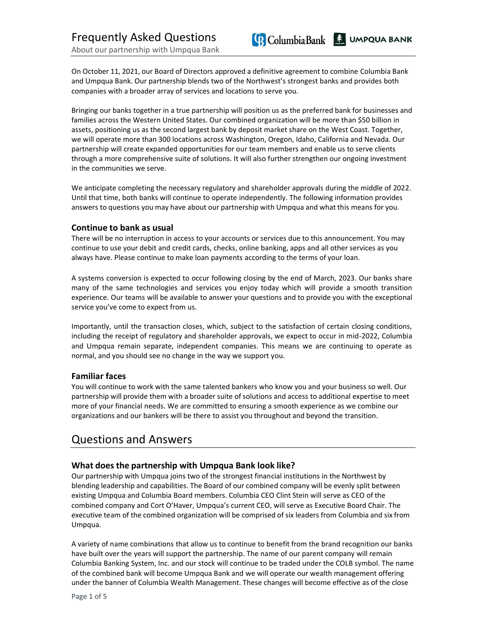**Q** Columbia Bank & UMPQUA BANK

On October 11, 2021, our Board of Directors approved a definitive agreement to combine Columbia Bank and Umpqua Bank. Our partnership blends two of the Northwest's strongest banks and provides both companies with a broader array of services and locations to serve you.

Bringing our banks together in a true partnership will position us as the preferred bank for businesses and families across the Western United States. Our combined organization will be more than \$50 billion in assets, positioning us as the second largest bank by deposit market share on the West Coast. Together, we will operate more than 300 locations across Washington, Oregon, Idaho, California and Nevada. Our partnership will create expanded opportunities for our team members and enable us to serve clients through a more comprehensive suite of solutions. It will also further strengthen our ongoing investment in the communities we serve.

We anticipate completing the necessary regulatory and shareholder approvals during the middle of 2022. Until that time, both banks will continue to operate independently. The following information provides answers to questions you may have about our partnership with Umpqua and what this means for you.

### **Continue to bank as usual**

There will be no interruption in access to your accounts or services due to this announcement. You may continue to use your debit and credit cards, checks, online banking, apps and all other services as you always have. Please continue to make loan payments according to the terms of your loan.

A systems conversion is expected to occur following closing by the end of March, 2023. Our banks share many of the same technologies and services you enjoy today which will provide a smooth transition experience. Our teams will be available to answer your questions and to provide you with the exceptional service you've come to expect from us.

Importantly, until the transaction closes, which, subject to the satisfaction of certain closing conditions, including the receipt of regulatory and shareholder approvals, we expect to occur in mid-2022, Columbia and Umpqua remain separate, independent companies. This means we are continuing to operate as normal, and you should see no change in the way we support you.

#### **Familiar faces**

You will continue to work with the same talented bankers who know you and your business so well. Our partnership will provide them with a broader suite of solutions and access to additional expertise to meet more of your financial needs. We are committed to ensuring a smooth experience as we combine our organizations and our bankers will be there to assist you throughout and beyond the transition.

## Questions and Answers

## **What does the partnership with Umpqua Bank look like?**

Our partnership with Umpqua joins two of the strongest financial institutions in the Northwest by blending leadership and capabilities. The Board of our combined company will be evenly split between existing Umpqua and Columbia Board members. Columbia CEO Clint Stein will serve as CEO of the combined company and Cort O'Haver, Umpqua's current CEO, will serve as Executive Board Chair. The executive team of the combined organization will be comprised of six leaders from Columbia and six from Umpqua.

A variety of name combinations that allow us to continue to benefit from the brand recognition our banks have built over the years will support the partnership. The name of our parent company will remain Columbia Banking System, Inc. and our stock will continue to be traded under the COLB symbol. The name of the combined bank will become Umpqua Bank and we will operate our wealth management offering under the banner of Columbia Wealth Management. These changes will become effective as of the close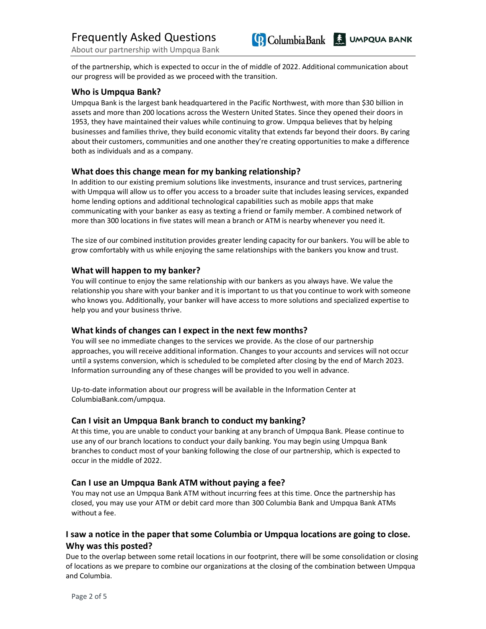

of the partnership, which is expected to occur in the of middle of 2022. Additional communication about our progress will be provided as we proceed with the transition.

### **Who is Umpqua Bank?**

Umpqua Bank is the largest bank headquartered in the Pacific Northwest, with more than \$30 billion in assets and more than 200 locations across the Western United States. Since they opened their doors in 1953, they have maintained their values while continuing to grow. Umpqua believes that by helping businesses and families thrive, they build economic vitality that extends far beyond their doors. By caring about their customers, communities and one another they're creating opportunities to make a difference both as individuals and as a company.

### **What does this change mean for my banking relationship?**

In addition to our existing premium solutions like investments, insurance and trust services, partnering with Umpqua will allow us to offer you access to a broader suite that includes leasing services, expanded home lending options and additional technological capabilities such as mobile apps that make communicating with your banker as easy as texting a friend or family member. A combined network of more than 300 locations in five states will mean a branch or ATM is nearby whenever you need it.

The size of our combined institution provides greater lending capacity for our bankers. You will be able to grow comfortably with us while enjoying the same relationships with the bankers you know and trust.

## **What will happen to my banker?**

You will continue to enjoy the same relationship with our bankers as you always have. We value the relationship you share with your banker and it is important to us that you continue to work with someone who knows you. Additionally, your banker will have access to more solutions and specialized expertise to help you and your business thrive.

## **What kinds of changes can I expect in the next few months?**

You will see no immediate changes to the services we provide. As the close of our partnership approaches, you will receive additional information. Changes to your accounts and services will not occur until a systems conversion, which is scheduled to be completed after closing by the end of March 2023. Information surrounding any of these changes will be provided to you well in advance.

Up-to-date information about our progress will be available in the Information Center at ColumbiaBank.com/umpqua.

#### **Can I visit an Umpqua Bank branch to conduct my banking?**

At this time, you are unable to conduct your banking at any branch of Umpqua Bank. Please continue to use any of our branch locations to conduct your daily banking. You may begin using Umpqua Bank branches to conduct most of your banking following the close of our partnership, which is expected to occur in the middle of 2022.

#### **Can I use an Umpqua Bank ATM without paying a fee?**

You may not use an Umpqua Bank ATM without incurring fees at this time. Once the partnership has closed, you may use your ATM or debit card more than 300 Columbia Bank and Umpqua Bank ATMs without a fee.

## **I saw a notice in the paper that some Columbia or Umpqua locations are going to close. Why was this posted?**

Due to the overlap between some retail locations in our footprint, there will be some consolidation or closing of locations as we prepare to combine our organizations at the closing of the combination between Umpqua and Columbia.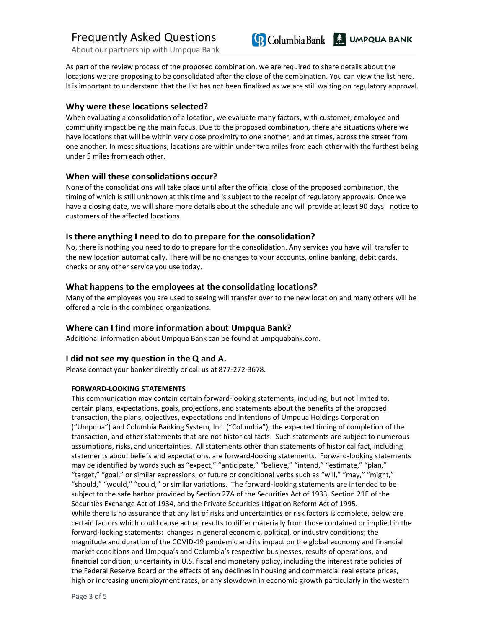About our partnership with Umpqua Bank

As part of the review process of the proposed combination, we are required to share details about the locations we are proposing to be consolidated after the close of the combination. You can view the list here. It is important to understand that the list has not been finalized as we are still waiting on regulatory approval.

**Columbia Bank Columbia Bank** 

## **Why were these locations selected?**

When evaluating a consolidation of a location, we evaluate many factors, with customer, employee and community impact being the main focus. Due to the proposed combination, there are situations where we have locations that will be within very close proximity to one another, and at times, across the street from one another. In most situations, locations are within under two miles from each other with the furthest being under 5 miles from each other.

## **When will these consolidations occur?**

None of the consolidations will take place until after the official close of the proposed combination, the timing of which is still unknown at this time and is subject to the receipt of regulatory approvals. Once we have a closing date, we will share more details about the schedule and will provide at least 90 days' notice to customers of the affected locations.

### **Is there anything I need to do to prepare for the consolidation?**

No, there is nothing you need to do to prepare for the consolidation. Any services you have will transfer to the new location automatically. There will be no changes to your accounts, online banking, debit cards, checks or any other service you use today.

### **What happens to the employees at the consolidating locations?**

Many of the employees you are used to seeing will transfer over to the new location and many others will be offered a role in the combined organizations.

## **Where can I find more information about Umpqua Bank?**

Additional information about Umpqua Bank can be found at umpquabank.com.

## **I did not see my question in the Q and A.**

Please contact your banker directly or call us at 877-272-3678.

## **FORWARD-LOOKING STATEMENTS**

This communication may contain certain forward-looking statements, including, but not limited to, certain plans, expectations, goals, projections, and statements about the benefits of the proposed transaction, the plans, objectives, expectations and intentions of Umpqua Holdings Corporation ("Umpqua") and Columbia Banking System, Inc. ("Columbia"), the expected timing of completion of the transaction, and other statements that are not historical facts. Such statements are subject to numerous assumptions, risks, and uncertainties. All statements other than statements of historical fact, including statements about beliefs and expectations, are forward-looking statements. Forward-looking statements may be identified by words such as "expect," "anticipate," "believe," "intend," "estimate," "plan," "target," "goal," or similar expressions, or future or conditional verbs such as "will," "may," "might," "should," "would," "could," or similar variations. The forward-looking statements are intended to be subject to the safe harbor provided by Section 27A of the Securities Act of 1933, Section 21E of the Securities Exchange Act of 1934, and the Private Securities Litigation Reform Act of 1995. While there is no assurance that any list of risks and uncertainties or risk factors is complete, below are certain factors which could cause actual results to differ materially from those contained or implied in the forward-looking statements: changes in general economic, political, or industry conditions; the magnitude and duration of the COVID-19 pandemic and its impact on the global economy and financial market conditions and Umpqua's and Columbia's respective businesses, results of operations, and financial condition; uncertainty in U.S. fiscal and monetary policy, including the interest rate policies of the Federal Reserve Board or the effects of any declines in housing and commercial real estate prices, high or increasing unemployment rates, or any slowdown in economic growth particularly in the western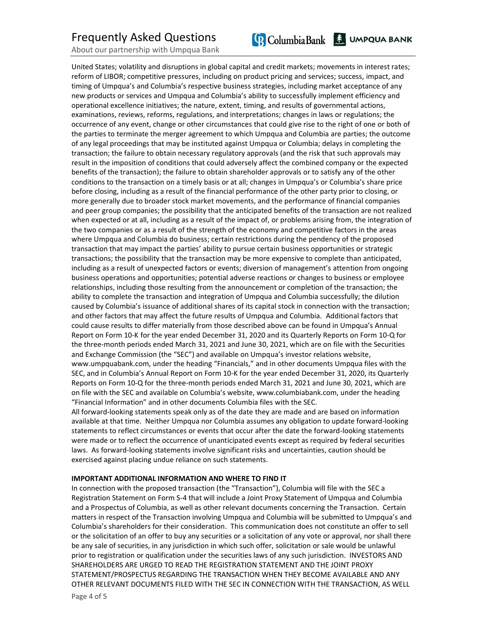# Frequently Asked Questions

About our partnership with Umpqua Bank

United States; volatility and disruptions in global capital and credit markets; movements in interest rates; reform of LIBOR; competitive pressures, including on product pricing and services; success, impact, and timing of Umpqua's and Columbia's respective business strategies, including market acceptance of any new products or services and Umpqua and Columbia's ability to successfully implement efficiency and operational excellence initiatives; the nature, extent, timing, and results of governmental actions, examinations, reviews, reforms, regulations, and interpretations; changes in laws or regulations; the occurrence of any event, change or other circumstances that could give rise to the right of one or both of the parties to terminate the merger agreement to which Umpqua and Columbia are parties; the outcome of any legal proceedings that may be instituted against Umpqua or Columbia; delays in completing the transaction; the failure to obtain necessary regulatory approvals (and the risk that such approvals may result in the imposition of conditions that could adversely affect the combined company or the expected benefits of the transaction); the failure to obtain shareholder approvals or to satisfy any of the other conditions to the transaction on a timely basis or at all; changes in Umpqua's or Columbia's share price before closing, including as a result of the financial performance of the other party prior to closing, or more generally due to broader stock market movements, and the performance of financial companies and peer group companies; the possibility that the anticipated benefits of the transaction are not realized when expected or at all, including as a result of the impact of, or problems arising from, the integration of the two companies or as a result of the strength of the economy and competitive factors in the areas where Umpqua and Columbia do business; certain restrictions during the pendency of the proposed transaction that may impact the parties' ability to pursue certain business opportunities or strategic transactions; the possibility that the transaction may be more expensive to complete than anticipated, including as a result of unexpected factors or events; diversion of management's attention from ongoing business operations and opportunities; potential adverse reactions or changes to business or employee relationships, including those resulting from the announcement or completion of the transaction; the ability to complete the transaction and integration of Umpqua and Columbia successfully; the dilution caused by Columbia's issuance of additional shares of its capital stock in connection with the transaction; and other factors that may affect the future results of Umpqua and Columbia. Additional factors that could cause results to differ materially from those described above can be found in Umpqua's Annual Report on Form 10-K for the year ended December 31, 2020 and its Quarterly Reports on Form 10-Q for the three-month periods ended March 31, 2021 and June 30, 2021, which are on file with the Securities and Exchange Commission (the "SEC") and available on Umpqua's investor relations website, www.umpquabank.com, under the heading "Financials," and in other documents Umpqua files with the SEC, and in Columbia's Annual Report on Form 10-K for the year ended December 31, 2020, its Quarterly Reports on Form 10-Q for the three-month periods ended March 31, 2021 and June 30, 2021, which are on file with the SEC and available on Columbia's website, www.columbiabank.com, under the heading "Financial Information" and in other documents Columbia files with the SEC.

All forward-looking statements speak only as of the date they are made and are based on information available at that time. Neither Umpqua nor Columbia assumes any obligation to update forward-looking statements to reflect circumstances or events that occur after the date the forward-looking statements were made or to reflect the occurrence of unanticipated events except as required by federal securities laws. As forward-looking statements involve significant risks and uncertainties, caution should be exercised against placing undue reliance on such statements.

#### **IMPORTANT ADDITIONAL INFORMATION AND WHERE TO FIND IT**

In connection with the proposed transaction (the "Transaction"), Columbia will file with the SEC a Registration Statement on Form S-4 that will include a Joint Proxy Statement of Umpqua and Columbia and a Prospectus of Columbia, as well as other relevant documents concerning the Transaction. Certain matters in respect of the Transaction involving Umpqua and Columbia will be submitted to Umpqua's and Columbia's shareholders for their consideration. This communication does not constitute an offer to sell or the solicitation of an offer to buy any securities or a solicitation of any vote or approval, nor shall there be any sale of securities, in any jurisdiction in which such offer, solicitation or sale would be unlawful prior to registration or qualification under the securities laws of any such jurisdiction. INVESTORS AND SHAREHOLDERS ARE URGED TO READ THE REGISTRATION STATEMENT AND THE JOINT PROXY STATEMENT/PROSPECTUS REGARDING THE TRANSACTION WHEN THEY BECOME AVAILABLE AND ANY OTHER RELEVANT DOCUMENTS FILED WITH THE SEC IN CONNECTION WITH THE TRANSACTION, AS WELL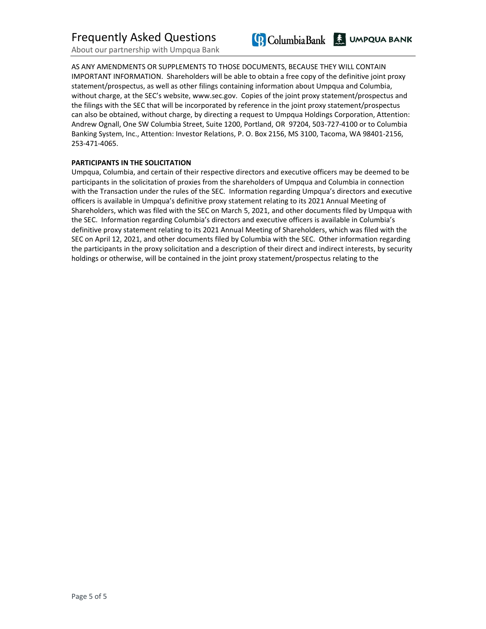About our partnership with Umpqua Bank



AS ANY AMENDMENTS OR SUPPLEMENTS TO THOSE DOCUMENTS, BECAUSE THEY WILL CONTAIN IMPORTANT INFORMATION. Shareholders will be able to obtain a free copy of the definitive joint proxy statement/prospectus, as well as other filings containing information about Umpqua and Columbia, without charge, at the SEC's website, www.sec.gov. Copies of the joint proxy statement/prospectus and the filings with the SEC that will be incorporated by reference in the joint proxy statement/prospectus can also be obtained, without charge, by directing a request to Umpqua Holdings Corporation, Attention: Andrew Ognall, One SW Columbia Street, Suite 1200, Portland, OR 97204, 503-727-4100 or to Columbia Banking System, Inc., Attention: Investor Relations, P. O. Box 2156, MS 3100, Tacoma, WA 98401-2156, 253-471-4065.

#### **PARTICIPANTS IN THE SOLICITATION**

Umpqua, Columbia, and certain of their respective directors and executive officers may be deemed to be participants in the solicitation of proxies from the shareholders of Umpqua and Columbia in connection with the Transaction under the rules of the SEC. Information regarding Umpqua's directors and executive officers is available in Umpqua's definitive proxy statement relating to its 2021 Annual Meeting of Shareholders, which was filed with the SEC on March 5, 2021, and other documents filed by Umpqua with the SEC. Information regarding Columbia's directors and executive officers is available in Columbia's definitive proxy statement relating to its 2021 Annual Meeting of Shareholders, which was filed with the SEC on April 12, 2021, and other documents filed by Columbia with the SEC. Other information regarding the participants in the proxy solicitation and a description of their direct and indirect interests, by security holdings or otherwise, will be contained in the joint proxy statement/prospectus relating to the